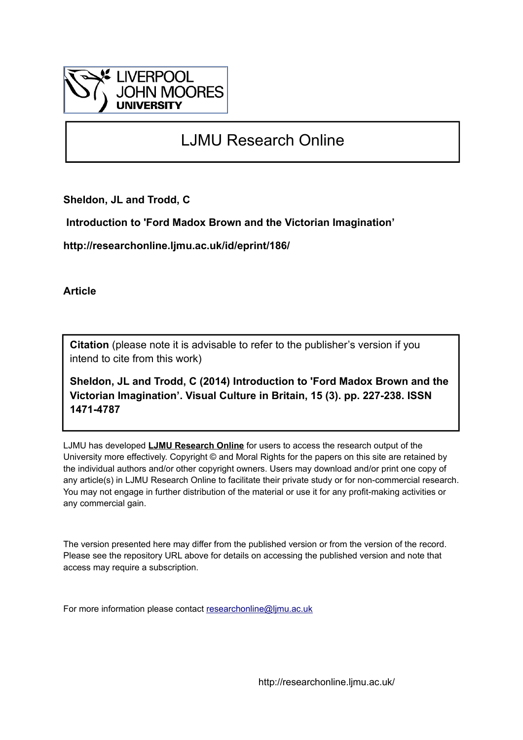

## LJMU Research Online

**Sheldon, JL and Trodd, C**

 **Introduction to 'Ford Madox Brown and the Victorian Imagination'**

**http://researchonline.ljmu.ac.uk/id/eprint/186/**

**Article**

**Citation** (please note it is advisable to refer to the publisher's version if you intend to cite from this work)

**Sheldon, JL and Trodd, C (2014) Introduction to 'Ford Madox Brown and the Victorian Imagination'. Visual Culture in Britain, 15 (3). pp. 227-238. ISSN 1471-4787** 

LJMU has developed **[LJMU Research Online](http://researchonline.ljmu.ac.uk/)** for users to access the research output of the University more effectively. Copyright © and Moral Rights for the papers on this site are retained by the individual authors and/or other copyright owners. Users may download and/or print one copy of any article(s) in LJMU Research Online to facilitate their private study or for non-commercial research. You may not engage in further distribution of the material or use it for any profit-making activities or any commercial gain.

The version presented here may differ from the published version or from the version of the record. Please see the repository URL above for details on accessing the published version and note that access may require a subscription.

For more information please contact [researchonline@ljmu.ac.uk](mailto:researchonline@ljmu.ac.uk)

http://researchonline.ljmu.ac.uk/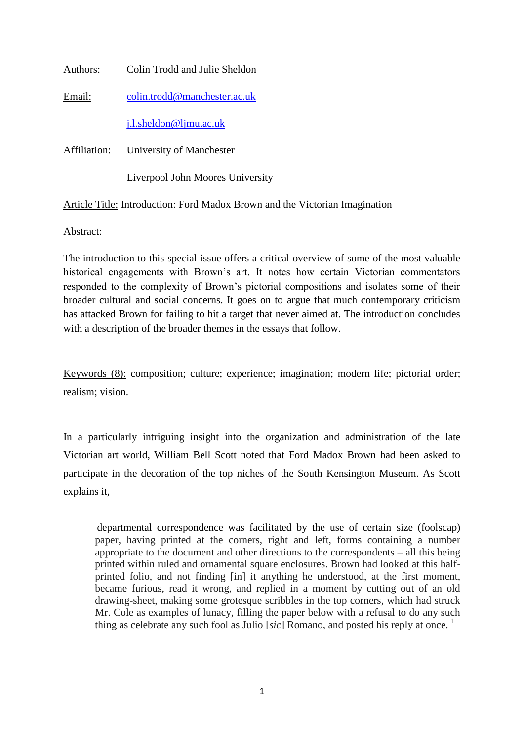| Authors:     | Colin Trodd and Julie Sheldon    |
|--------------|----------------------------------|
| Email:       | colin.trodd@manchester.ac.uk     |
|              | $i.l.$ sheldon@ljmu.ac.uk        |
| Affiliation: | University of Manchester         |
|              | Liverpool John Moores University |
|              |                                  |

Article Title: Introduction: Ford Madox Brown and the Victorian Imagination

Abstract:

The introduction to this special issue offers a critical overview of some of the most valuable historical engagements with Brown's art. It notes how certain Victorian commentators responded to the complexity of Brown's pictorial compositions and isolates some of their broader cultural and social concerns. It goes on to argue that much contemporary criticism has attacked Brown for failing to hit a target that never aimed at. The introduction concludes with a description of the broader themes in the essays that follow.

Keywords (8): composition; culture; experience; imagination; modern life; pictorial order; realism; vision.

In a particularly intriguing insight into the organization and administration of the late Victorian art world, William Bell Scott noted that Ford Madox Brown had been asked to participate in the decoration of the top niches of the South Kensington Museum. As Scott explains it,

departmental correspondence was facilitated by the use of certain size (foolscap) paper, having printed at the corners, right and left, forms containing a number appropriate to the document and other directions to the correspondents – all this being printed within ruled and ornamental square enclosures. Brown had looked at this halfprinted folio, and not finding [in] it anything he understood, at the first moment, became furious, read it wrong, and replied in a moment by cutting out of an old drawing-sheet, making some grotesque scribbles in the top corners, which had struck Mr. Cole as examples of lunacy, filling the paper below with a refusal to do any such thing as celebrate any such fool as Julio  $[sic]$  Romano, and posted his reply at once.<sup>1</sup>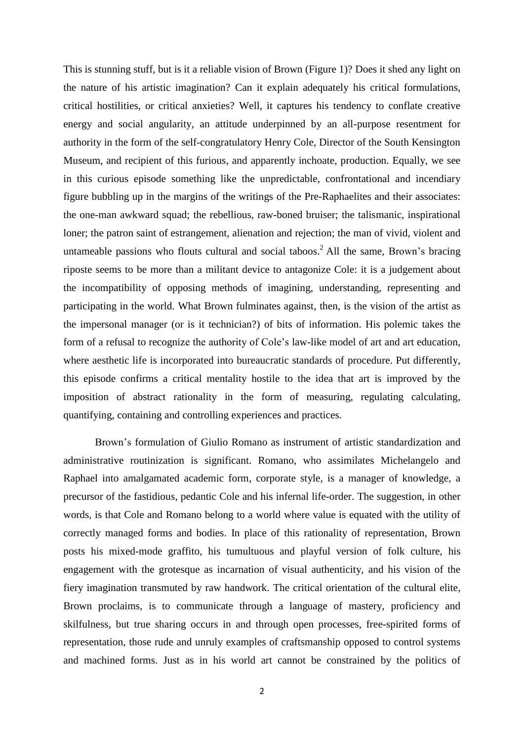This is stunning stuff, but is it a reliable vision of Brown (Figure 1)? Does it shed any light on the nature of his artistic imagination? Can it explain adequately his critical formulations, critical hostilities, or critical anxieties? Well, it captures his tendency to conflate creative energy and social angularity, an attitude underpinned by an all-purpose resentment for authority in the form of the self-congratulatory Henry Cole, Director of the South Kensington Museum, and recipient of this furious, and apparently inchoate, production. Equally, we see in this curious episode something like the unpredictable, confrontational and incendiary figure bubbling up in the margins of the writings of the Pre-Raphaelites and their associates: the one-man awkward squad; the rebellious, raw-boned bruiser; the talismanic, inspirational loner; the patron saint of estrangement, alienation and rejection; the man of vivid, violent and untameable passions who flouts cultural and social taboos.<sup>2</sup> All the same, Brown's bracing riposte seems to be more than a militant device to antagonize Cole: it is a judgement about the incompatibility of opposing methods of imagining, understanding, representing and participating in the world. What Brown fulminates against, then, is the vision of the artist as the impersonal manager (or is it technician?) of bits of information. His polemic takes the form of a refusal to recognize the authority of Cole's law-like model of art and art education, where aesthetic life is incorporated into bureaucratic standards of procedure. Put differently, this episode confirms a critical mentality hostile to the idea that art is improved by the imposition of abstract rationality in the form of measuring, regulating calculating, quantifying, containing and controlling experiences and practices.

Brown's formulation of Giulio Romano as instrument of artistic standardization and administrative routinization is significant. Romano, who assimilates Michelangelo and Raphael into amalgamated academic form, corporate style, is a manager of knowledge, a precursor of the fastidious, pedantic Cole and his infernal life-order. The suggestion, in other words, is that Cole and Romano belong to a world where value is equated with the utility of correctly managed forms and bodies. In place of this rationality of representation, Brown posts his mixed-mode graffito, his tumultuous and playful version of folk culture, his engagement with the grotesque as incarnation of visual authenticity, and his vision of the fiery imagination transmuted by raw handwork. The critical orientation of the cultural elite, Brown proclaims, is to communicate through a language of mastery, proficiency and skilfulness, but true sharing occurs in and through open processes, free-spirited forms of representation, those rude and unruly examples of craftsmanship opposed to control systems and machined forms. Just as in his world art cannot be constrained by the politics of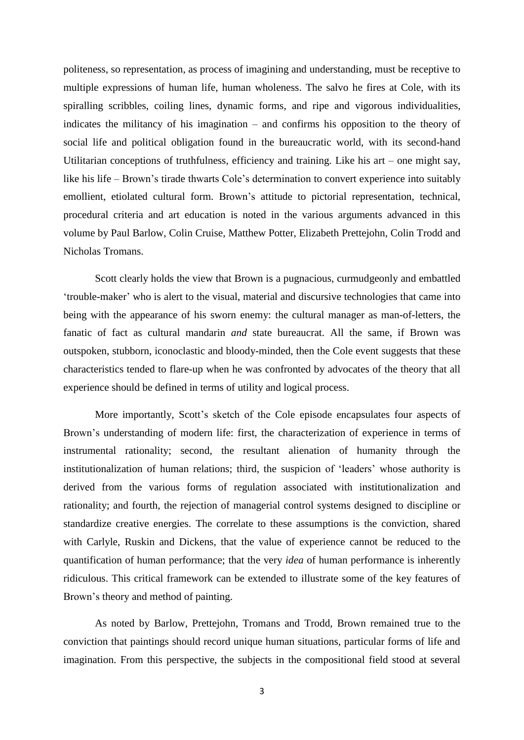politeness, so representation, as process of imagining and understanding, must be receptive to multiple expressions of human life, human wholeness. The salvo he fires at Cole, with its spiralling scribbles, coiling lines, dynamic forms, and ripe and vigorous individualities, indicates the militancy of his imagination – and confirms his opposition to the theory of social life and political obligation found in the bureaucratic world, with its second-hand Utilitarian conceptions of truthfulness, efficiency and training. Like his art – one might say, like his life – Brown's tirade thwarts Cole's determination to convert experience into suitably emollient, etiolated cultural form. Brown's attitude to pictorial representation, technical, procedural criteria and art education is noted in the various arguments advanced in this volume by Paul Barlow, Colin Cruise, Matthew Potter, Elizabeth Prettejohn, Colin Trodd and Nicholas Tromans.

Scott clearly holds the view that Brown is a pugnacious, curmudgeonly and embattled 'trouble-maker' who is alert to the visual, material and discursive technologies that came into being with the appearance of his sworn enemy: the cultural manager as man-of-letters, the fanatic of fact as cultural mandarin *and* state bureaucrat. All the same, if Brown was outspoken, stubborn, iconoclastic and bloody-minded, then the Cole event suggests that these characteristics tended to flare-up when he was confronted by advocates of the theory that all experience should be defined in terms of utility and logical process.

More importantly, Scott's sketch of the Cole episode encapsulates four aspects of Brown's understanding of modern life: first, the characterization of experience in terms of instrumental rationality; second, the resultant alienation of humanity through the institutionalization of human relations; third, the suspicion of 'leaders' whose authority is derived from the various forms of regulation associated with institutionalization and rationality; and fourth, the rejection of managerial control systems designed to discipline or standardize creative energies. The correlate to these assumptions is the conviction, shared with Carlyle, Ruskin and Dickens, that the value of experience cannot be reduced to the quantification of human performance; that the very *idea* of human performance is inherently ridiculous. This critical framework can be extended to illustrate some of the key features of Brown's theory and method of painting.

As noted by Barlow, Prettejohn, Tromans and Trodd, Brown remained true to the conviction that paintings should record unique human situations, particular forms of life and imagination. From this perspective, the subjects in the compositional field stood at several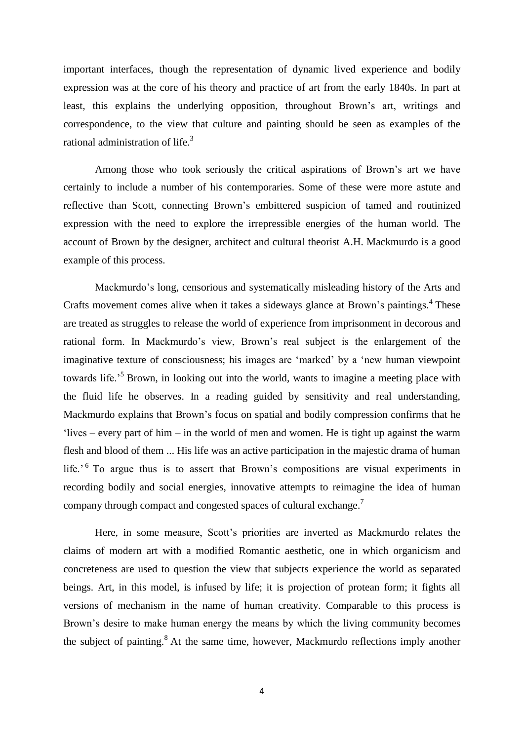important interfaces, though the representation of dynamic lived experience and bodily expression was at the core of his theory and practice of art from the early 1840s. In part at least, this explains the underlying opposition, throughout Brown's art, writings and correspondence, to the view that culture and painting should be seen as examples of the rational administration of life.<sup>3</sup>

Among those who took seriously the critical aspirations of Brown's art we have certainly to include a number of his contemporaries. Some of these were more astute and reflective than Scott, connecting Brown's embittered suspicion of tamed and routinized expression with the need to explore the irrepressible energies of the human world. The account of Brown by the designer, architect and cultural theorist A.H. Mackmurdo is a good example of this process.

Mackmurdo's long, censorious and systematically misleading history of the Arts and Crafts movement comes alive when it takes a sideways glance at Brown's paintings.<sup>4</sup> These are treated as struggles to release the world of experience from imprisonment in decorous and rational form. In Mackmurdo's view, Brown's real subject is the enlargement of the imaginative texture of consciousness; his images are 'marked' by a 'new human viewpoint towards life.<sup>5</sup> Brown, in looking out into the world, wants to imagine a meeting place with the fluid life he observes. In a reading guided by sensitivity and real understanding, Mackmurdo explains that Brown's focus on spatial and bodily compression confirms that he 'lives – every part of him – in the world of men and women. He is tight up against the warm flesh and blood of them ... His life was an active participation in the majestic drama of human life.<sup>' 6</sup> To argue thus is to assert that Brown's compositions are visual experiments in recording bodily and social energies, innovative attempts to reimagine the idea of human company through compact and congested spaces of cultural exchange.<sup>7</sup>

Here, in some measure, Scott's priorities are inverted as Mackmurdo relates the claims of modern art with a modified Romantic aesthetic, one in which organicism and concreteness are used to question the view that subjects experience the world as separated beings. Art, in this model, is infused by life; it is projection of protean form; it fights all versions of mechanism in the name of human creativity. Comparable to this process is Brown's desire to make human energy the means by which the living community becomes the subject of painting.<sup>8</sup> At the same time, however, Mackmurdo reflections imply another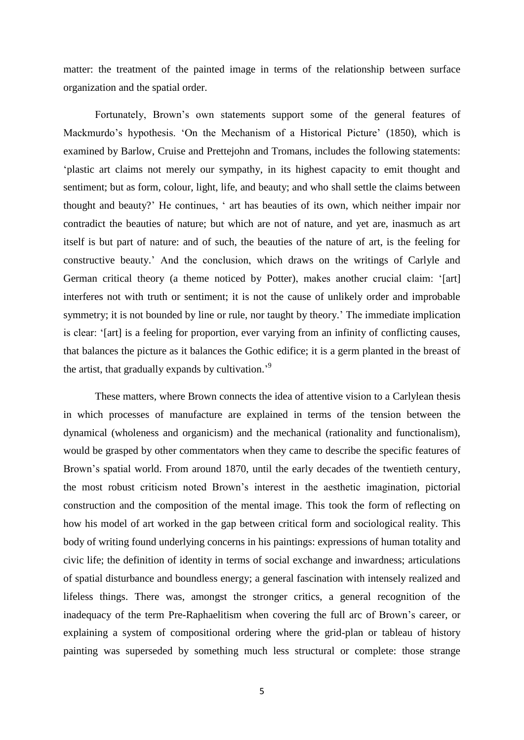matter: the treatment of the painted image in terms of the relationship between surface organization and the spatial order.

Fortunately, Brown's own statements support some of the general features of Mackmurdo's hypothesis. 'On the Mechanism of a Historical Picture' (1850), which is examined by Barlow, Cruise and Prettejohn and Tromans, includes the following statements: 'plastic art claims not merely our sympathy, in its highest capacity to emit thought and sentiment; but as form, colour, light, life, and beauty; and who shall settle the claims between thought and beauty?' He continues, ' art has beauties of its own, which neither impair nor contradict the beauties of nature; but which are not of nature, and yet are, inasmuch as art itself is but part of nature: and of such, the beauties of the nature of art, is the feeling for constructive beauty.' And the conclusion, which draws on the writings of Carlyle and German critical theory (a theme noticed by Potter), makes another crucial claim: '[art] interferes not with truth or sentiment; it is not the cause of unlikely order and improbable symmetry; it is not bounded by line or rule, nor taught by theory.' The immediate implication is clear: '[art] is a feeling for proportion, ever varying from an infinity of conflicting causes, that balances the picture as it balances the Gothic edifice; it is a germ planted in the breast of the artist, that gradually expands by cultivation.<sup>9</sup>

These matters, where Brown connects the idea of attentive vision to a Carlylean thesis in which processes of manufacture are explained in terms of the tension between the dynamical (wholeness and organicism) and the mechanical (rationality and functionalism), would be grasped by other commentators when they came to describe the specific features of Brown's spatial world. From around 1870, until the early decades of the twentieth century, the most robust criticism noted Brown's interest in the aesthetic imagination, pictorial construction and the composition of the mental image. This took the form of reflecting on how his model of art worked in the gap between critical form and sociological reality. This body of writing found underlying concerns in his paintings: expressions of human totality and civic life; the definition of identity in terms of social exchange and inwardness; articulations of spatial disturbance and boundless energy; a general fascination with intensely realized and lifeless things. There was, amongst the stronger critics, a general recognition of the inadequacy of the term Pre-Raphaelitism when covering the full arc of Brown's career, or explaining a system of compositional ordering where the grid-plan or tableau of history painting was superseded by something much less structural or complete: those strange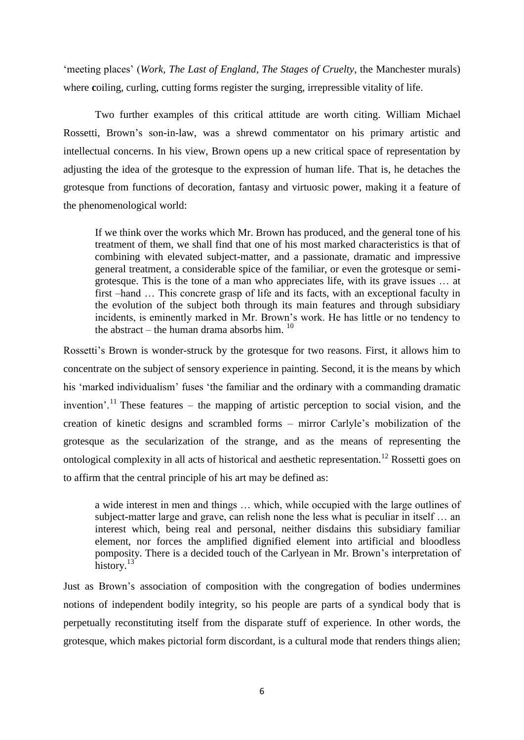'meeting places' (*Work, The Last of England, The Stages of Cruelty*, the Manchester murals) where coiling, curling, cutting forms register the surging, irrepressible vitality of life.

Two further examples of this critical attitude are worth citing. William Michael Rossetti, Brown's son-in-law, was a shrewd commentator on his primary artistic and intellectual concerns. In his view, Brown opens up a new critical space of representation by adjusting the idea of the grotesque to the expression of human life. That is, he detaches the grotesque from functions of decoration, fantasy and virtuosic power, making it a feature of the phenomenological world:

If we think over the works which Mr. Brown has produced, and the general tone of his treatment of them, we shall find that one of his most marked characteristics is that of combining with elevated subject-matter, and a passionate, dramatic and impressive general treatment, a considerable spice of the familiar, or even the grotesque or semigrotesque. This is the tone of a man who appreciates life, with its grave issues … at first –hand … This concrete grasp of life and its facts, with an exceptional faculty in the evolution of the subject both through its main features and through subsidiary incidents, is eminently marked in Mr. Brown's work. He has little or no tendency to the abstract – the human drama absorbs him.  $^{10}$ 

Rossetti's Brown is wonder-struck by the grotesque for two reasons. First, it allows him to concentrate on the subject of sensory experience in painting. Second, it is the means by which his 'marked individualism' fuses 'the familiar and the ordinary with a commanding dramatic invention'.<sup>11</sup> These features – the mapping of artistic perception to social vision, and the creation of kinetic designs and scrambled forms – mirror Carlyle's mobilization of the grotesque as the secularization of the strange, and as the means of representing the ontological complexity in all acts of historical and aesthetic representation.<sup>12</sup> Rossetti goes on to affirm that the central principle of his art may be defined as:

a wide interest in men and things … which, while occupied with the large outlines of subject-matter large and grave, can relish none the less what is peculiar in itself … an interest which, being real and personal, neither disdains this subsidiary familiar element, nor forces the amplified dignified element into artificial and bloodless pomposity. There is a decided touch of the Carlyean in Mr. Brown's interpretation of history.<sup>13</sup>

Just as Brown's association of composition with the congregation of bodies undermines notions of independent bodily integrity, so his people are parts of a syndical body that is perpetually reconstituting itself from the disparate stuff of experience. In other words, the grotesque, which makes pictorial form discordant, is a cultural mode that renders things alien;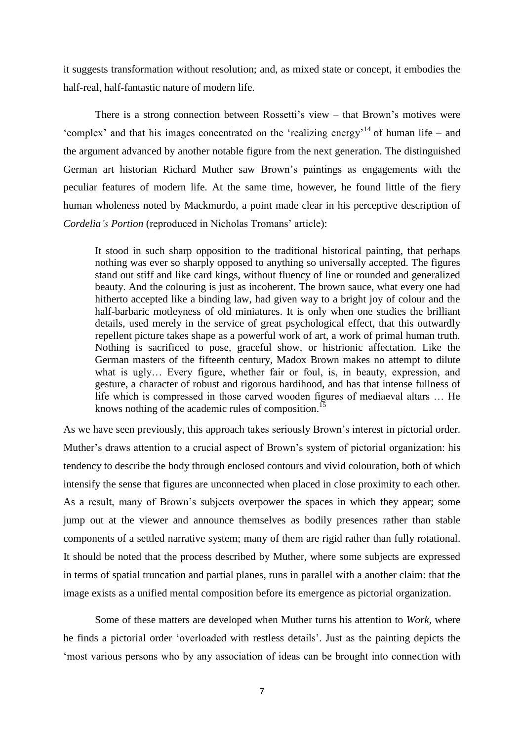it suggests transformation without resolution; and, as mixed state or concept, it embodies the half-real, half-fantastic nature of modern life.

There is a strong connection between Rossetti's view – that Brown's motives were 'complex' and that his images concentrated on the 'realizing energy'<sup>14</sup> of human life – and the argument advanced by another notable figure from the next generation. The distinguished German art historian Richard Muther saw Brown's paintings as engagements with the peculiar features of modern life. At the same time, however, he found little of the fiery human wholeness noted by Mackmurdo, a point made clear in his perceptive description of *Cordelia's Portion* (reproduced in Nicholas Tromans' article):

It stood in such sharp opposition to the traditional historical painting, that perhaps nothing was ever so sharply opposed to anything so universally accepted. The figures stand out stiff and like card kings, without fluency of line or rounded and generalized beauty. And the colouring is just as incoherent. The brown sauce, what every one had hitherto accepted like a binding law, had given way to a bright joy of colour and the half-barbaric motleyness of old miniatures. It is only when one studies the brilliant details, used merely in the service of great psychological effect, that this outwardly repellent picture takes shape as a powerful work of art, a work of primal human truth. Nothing is sacrificed to pose, graceful show, or histrionic affectation. Like the German masters of the fifteenth century, Madox Brown makes no attempt to dilute what is ugly... Every figure, whether fair or foul, is, in beauty, expression, and gesture, a character of robust and rigorous hardihood, and has that intense fullness of life which is compressed in those carved wooden figures of mediaeval altars … He knows nothing of the academic rules of composition.<sup>15</sup>

As we have seen previously, this approach takes seriously Brown's interest in pictorial order. Muther's draws attention to a crucial aspect of Brown's system of pictorial organization: his tendency to describe the body through enclosed contours and vivid colouration, both of which intensify the sense that figures are unconnected when placed in close proximity to each other. As a result, many of Brown's subjects overpower the spaces in which they appear; some jump out at the viewer and announce themselves as bodily presences rather than stable components of a settled narrative system; many of them are rigid rather than fully rotational. It should be noted that the process described by Muther, where some subjects are expressed in terms of spatial truncation and partial planes, runs in parallel with a another claim: that the image exists as a unified mental composition before its emergence as pictorial organization.

Some of these matters are developed when Muther turns his attention to *Work*, where he finds a pictorial order 'overloaded with restless details'. Just as the painting depicts the 'most various persons who by any association of ideas can be brought into connection with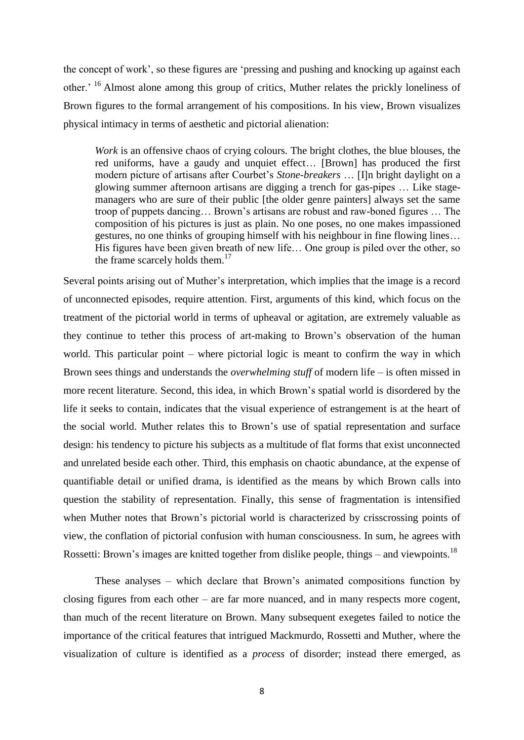the concept of work', so these figures are 'pressing and pushing and knocking up against each other.' <sup>16</sup> Almost alone among this group of critics, Muther relates the prickly loneliness of Brown figures to the formal arrangement of his compositions. In his view, Brown visualizes physical intimacy in terms of aesthetic and pictorial alienation:

*Work* is an offensive chaos of crying colours. The bright clothes, the blue blouses, the red uniforms, have a gaudy and unquiet effect… [Brown] has produced the first modern picture of artisans after Courbet's *Stone-breakers* … [I]n bright daylight on a glowing summer afternoon artisans are digging a trench for gas-pipes … Like stagemanagers who are sure of their public [the older genre painters] always set the same troop of puppets dancing… Brown's artisans are robust and raw-boned figures … The composition of his pictures is just as plain. No one poses, no one makes impassioned gestures, no one thinks of grouping himself with his neighbour in fine flowing lines… His figures have been given breath of new life… One group is piled over the other, so the frame scarcely holds them. $17$ 

Several points arising out of Muther's interpretation, which implies that the image is a record of unconnected episodes, require attention. First, arguments of this kind, which focus on the treatment of the pictorial world in terms of upheaval or agitation, are extremely valuable as they continue to tether this process of art-making to Brown's observation of the human world. This particular point – where pictorial logic is meant to confirm the way in which Brown sees things and understands the *overwhelming stuff* of modern life – is often missed in more recent literature. Second, this idea, in which Brown's spatial world is disordered by the life it seeks to contain, indicates that the visual experience of estrangement is at the heart of the social world. Muther relates this to Brown's use of spatial representation and surface design: his tendency to picture his subjects as a multitude of flat forms that exist unconnected and unrelated beside each other. Third, this emphasis on chaotic abundance, at the expense of quantifiable detail or unified drama, is identified as the means by which Brown calls into question the stability of representation. Finally, this sense of fragmentation is intensified when Muther notes that Brown's pictorial world is characterized by crisscrossing points of view, the conflation of pictorial confusion with human consciousness. In sum, he agrees with Rossetti: Brown's images are knitted together from dislike people, things – and viewpoints.<sup>18</sup>

These analyses – which declare that Brown's animated compositions function by closing figures from each other – are far more nuanced, and in many respects more cogent, than much of the recent literature on Brown. Many subsequent exegetes failed to notice the importance of the critical features that intrigued Mackmurdo, Rossetti and Muther, where the visualization of culture is identified as a *process* of disorder; instead there emerged, as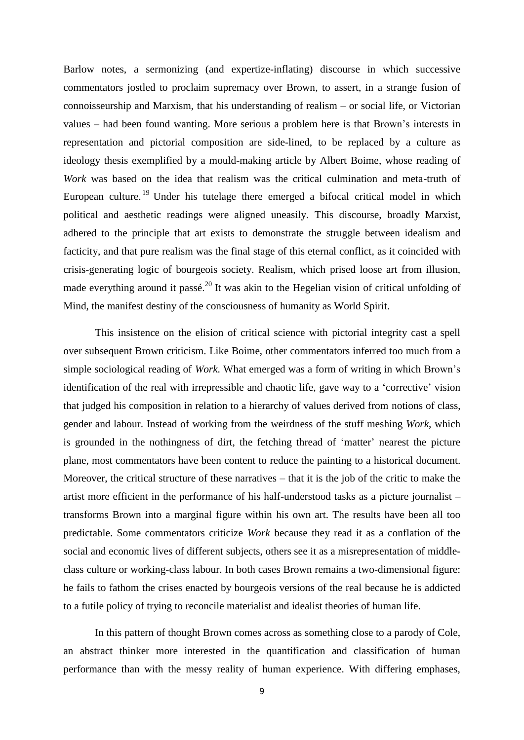Barlow notes, a sermonizing (and expertize-inflating) discourse in which successive commentators jostled to proclaim supremacy over Brown, to assert, in a strange fusion of connoisseurship and Marxism, that his understanding of realism – or social life, or Victorian values – had been found wanting. More serious a problem here is that Brown's interests in representation and pictorial composition are side-lined, to be replaced by a culture as ideology thesis exemplified by a mould-making article by Albert Boime, whose reading of *Work* was based on the idea that realism was the critical culmination and meta-truth of European culture.<sup>19</sup> Under his tutelage there emerged a bifocal critical model in which political and aesthetic readings were aligned uneasily. This discourse, broadly Marxist, adhered to the principle that art exists to demonstrate the struggle between idealism and facticity, and that pure realism was the final stage of this eternal conflict, as it coincided with crisis-generating logic of bourgeois society. Realism, which prised loose art from illusion, made everything around it passé.<sup>20</sup> It was akin to the Hegelian vision of critical unfolding of Mind, the manifest destiny of the consciousness of humanity as World Spirit.

This insistence on the elision of critical science with pictorial integrity cast a spell over subsequent Brown criticism. Like Boime, other commentators inferred too much from a simple sociological reading of *Work*. What emerged was a form of writing in which Brown's identification of the real with irrepressible and chaotic life, gave way to a 'corrective' vision that judged his composition in relation to a hierarchy of values derived from notions of class, gender and labour. Instead of working from the weirdness of the stuff meshing *Work*, which is grounded in the nothingness of dirt, the fetching thread of 'matter' nearest the picture plane, most commentators have been content to reduce the painting to a historical document. Moreover, the critical structure of these narratives – that it is the job of the critic to make the artist more efficient in the performance of his half-understood tasks as a picture journalist – transforms Brown into a marginal figure within his own art. The results have been all too predictable. Some commentators criticize *Work* because they read it as a conflation of the social and economic lives of different subjects, others see it as a misrepresentation of middleclass culture or working-class labour. In both cases Brown remains a two-dimensional figure: he fails to fathom the crises enacted by bourgeois versions of the real because he is addicted to a futile policy of trying to reconcile materialist and idealist theories of human life.

In this pattern of thought Brown comes across as something close to a parody of Cole, an abstract thinker more interested in the quantification and classification of human performance than with the messy reality of human experience. With differing emphases,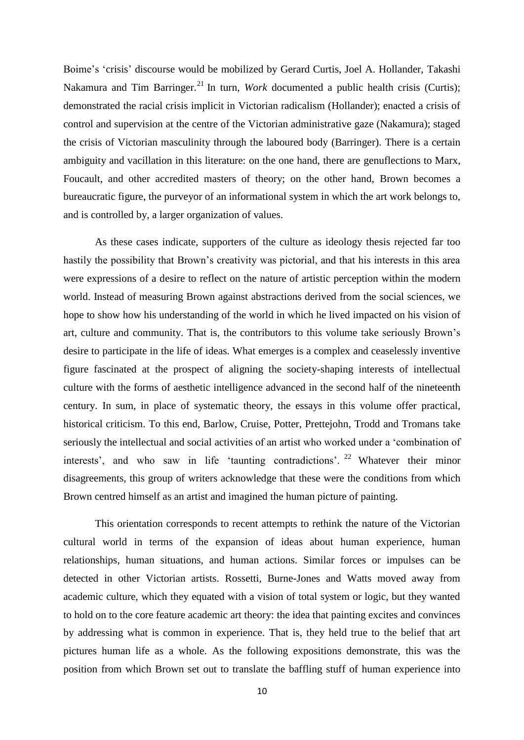Boime's 'crisis' discourse would be mobilized by Gerard Curtis, Joel A. Hollander, Takashi Nakamura and Tim Barringer.<sup>21</sup> In turn, *Work* documented a public health crisis (Curtis); demonstrated the racial crisis implicit in Victorian radicalism (Hollander); enacted a crisis of control and supervision at the centre of the Victorian administrative gaze (Nakamura); staged the crisis of Victorian masculinity through the laboured body (Barringer). There is a certain ambiguity and vacillation in this literature: on the one hand, there are genuflections to Marx, Foucault, and other accredited masters of theory; on the other hand, Brown becomes a bureaucratic figure, the purveyor of an informational system in which the art work belongs to, and is controlled by, a larger organization of values.

As these cases indicate, supporters of the culture as ideology thesis rejected far too hastily the possibility that Brown's creativity was pictorial, and that his interests in this area were expressions of a desire to reflect on the nature of artistic perception within the modern world. Instead of measuring Brown against abstractions derived from the social sciences, we hope to show how his understanding of the world in which he lived impacted on his vision of art, culture and community. That is, the contributors to this volume take seriously Brown's desire to participate in the life of ideas. What emerges is a complex and ceaselessly inventive figure fascinated at the prospect of aligning the society-shaping interests of intellectual culture with the forms of aesthetic intelligence advanced in the second half of the nineteenth century. In sum, in place of systematic theory, the essays in this volume offer practical, historical criticism. To this end, Barlow, Cruise, Potter, Prettejohn, Trodd and Tromans take seriously the intellectual and social activities of an artist who worked under a 'combination of interests', and who saw in life 'taunting contradictions'. <sup>22</sup> Whatever their minor disagreements, this group of writers acknowledge that these were the conditions from which Brown centred himself as an artist and imagined the human picture of painting.

This orientation corresponds to recent attempts to rethink the nature of the Victorian cultural world in terms of the expansion of ideas about human experience, human relationships, human situations, and human actions. Similar forces or impulses can be detected in other Victorian artists. Rossetti, Burne-Jones and Watts moved away from academic culture, which they equated with a vision of total system or logic, but they wanted to hold on to the core feature academic art theory: the idea that painting excites and convinces by addressing what is common in experience. That is, they held true to the belief that art pictures human life as a whole. As the following expositions demonstrate, this was the position from which Brown set out to translate the baffling stuff of human experience into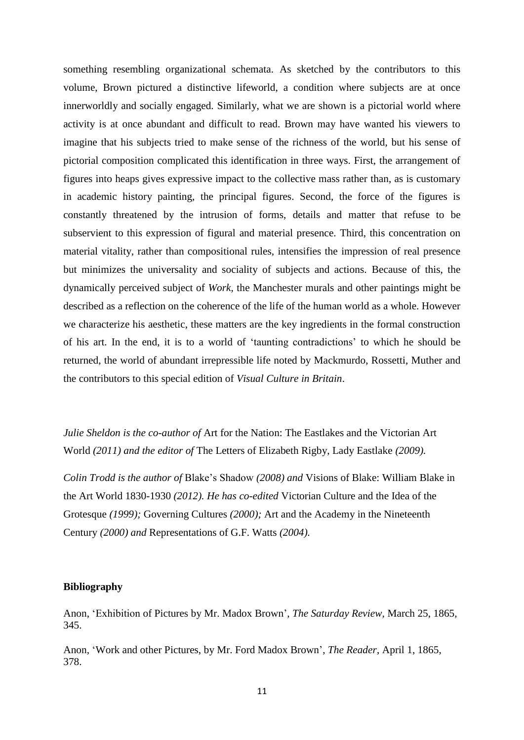something resembling organizational schemata. As sketched by the contributors to this volume, Brown pictured a distinctive lifeworld, a condition where subjects are at once innerworldly and socially engaged. Similarly, what we are shown is a pictorial world where activity is at once abundant and difficult to read. Brown may have wanted his viewers to imagine that his subjects tried to make sense of the richness of the world, but his sense of pictorial composition complicated this identification in three ways. First, the arrangement of figures into heaps gives expressive impact to the collective mass rather than, as is customary in academic history painting, the principal figures. Second, the force of the figures is constantly threatened by the intrusion of forms, details and matter that refuse to be subservient to this expression of figural and material presence. Third, this concentration on material vitality, rather than compositional rules, intensifies the impression of real presence but minimizes the universality and sociality of subjects and actions. Because of this, the dynamically perceived subject of *Work*, the Manchester murals and other paintings might be described as a reflection on the coherence of the life of the human world as a whole. However we characterize his aesthetic, these matters are the key ingredients in the formal construction of his art. In the end, it is to a world of 'taunting contradictions' to which he should be returned, the world of abundant irrepressible life noted by Mackmurdo, Rossetti, Muther and the contributors to this special edition of *Visual Culture in Britain*.

*Julie Sheldon is the co-author of* Art for the Nation: The Eastlakes and the Victorian Art World *(2011) and the editor of* The Letters of Elizabeth Rigby, Lady Eastlake *(2009).*

*Colin Trodd is the author of* Blake's Shadow *(2008) and* Visions of Blake: William Blake in the Art World 1830-1930 *(2012). He has co-edited* Victorian Culture and the Idea of the Grotesque *(1999);* Governing Cultures *(2000);* Art and the Academy in the Nineteenth Century *(2000) and* Representations of G.F. Watts *(2004).*

## **Bibliography**

Anon, 'Exhibition of Pictures by Mr. Madox Brown', *The Saturday Review,* March 25, 1865, 345.

Anon, 'Work and other Pictures, by Mr. Ford Madox Brown', *The Reader*, April 1, 1865, 378.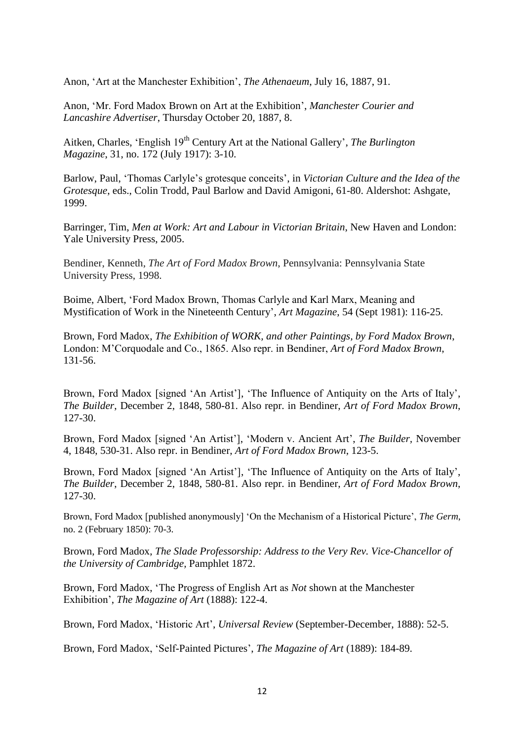Anon, 'Art at the Manchester Exhibition', *The Athenaeum*, July 16, 1887, 91.

Anon, 'Mr. Ford Madox Brown on Art at the Exhibition', *Manchester Courier and Lancashire Advertiser*, Thursday October 20, 1887, 8.

Aitken, Charles, 'English 19<sup>th</sup> Century Art at the National Gallery', *The Burlington Magazine*, 31, no. 172 (July 1917): 3-10.

Barlow, Paul, 'Thomas Carlyle's grotesque conceits', in *Victorian Culture and the Idea of the Grotesque*, eds., Colin Trodd, Paul Barlow and David Amigoni, 61-80. Aldershot: Ashgate, 1999.

Barringer, Tim, *Men at Work: Art and Labour in Victorian Britain*, New Haven and London: Yale University Press, 2005.

Bendiner, Kenneth, *The Art of Ford Madox Brown*, Pennsylvania: Pennsylvania State University Press, 1998.

Boime, Albert, 'Ford Madox Brown, Thomas Carlyle and Karl Marx, Meaning and Mystification of Work in the Nineteenth Century', *Art Magazine*, 54 (Sept 1981): 116-25.

Brown, Ford Madox, *The Exhibition of WORK, and other Paintings, by Ford Madox Brown*, London: M'Corquodale and Co., 1865. Also repr. in Bendiner, *Art of Ford Madox Brown*, 131-56.

Brown, Ford Madox [signed 'An Artist'], 'The Influence of Antiquity on the Arts of Italy', *The Builder*, December 2, 1848, 580-81. Also repr. in Bendiner, *Art of Ford Madox Brown*, 127-30.

Brown, Ford Madox [signed 'An Artist'], 'Modern v. Ancient Art', *The Builder,* November 4, 1848, 530-31. Also repr. in Bendiner, *Art of Ford Madox Brown*, 123-5.

Brown, Ford Madox [signed 'An Artist'], 'The Influence of Antiquity on the Arts of Italy', *The Builder*, December 2, 1848, 580-81. Also repr. in Bendiner, *Art of Ford Madox Brown*, 127-30.

Brown, Ford Madox [published anonymously] 'On the Mechanism of a Historical Picture', *The Germ*, no. 2 (February 1850): 70-3.

Brown, Ford Madox, *The Slade Professorship: Address to the Very Rev. Vice-Chancellor of the University of Cambridge,* Pamphlet 1872.

Brown, Ford Madox, 'The Progress of English Art as *Not* shown at the Manchester Exhibition', *The Magazine of Art* (1888): 122-4.

Brown, Ford Madox, 'Historic Art', *Universal Review* (September-December, 1888): 52-5.

Brown, Ford Madox, 'Self-Painted Pictures', *The Magazine of Art* (1889): 184-89.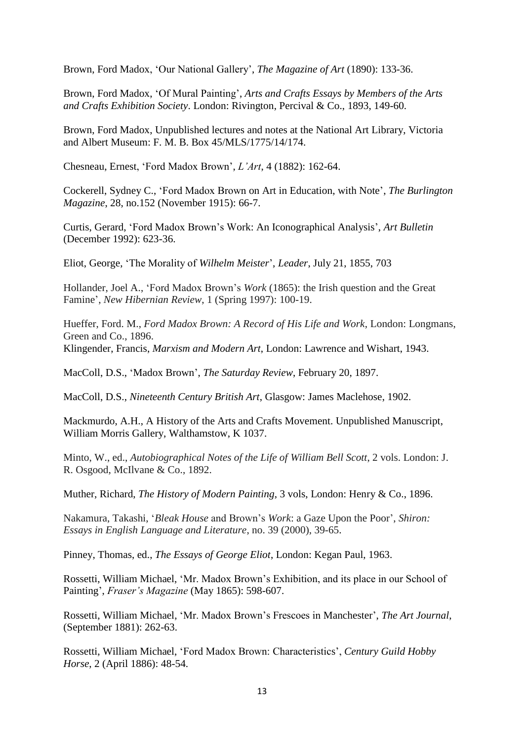Brown, Ford Madox, 'Our National Gallery', *The Magazine of Art* (1890): 133-36.

Brown, Ford Madox, 'Of Mural Painting', *Arts and Crafts Essays by Members of the Arts and Crafts Exhibition Society*. London: Rivington, Percival & Co., 1893, 149-60.

Brown, Ford Madox, Unpublished lectures and notes at the National Art Library, Victoria and Albert Museum: F. M. B. Box 45/MLS/1775/14/174.

Chesneau, Ernest, 'Ford Madox Brown', *L'Art*, 4 (1882): 162-64.

Cockerell, Sydney C., 'Ford Madox Brown on Art in Education, with Note', *The Burlington Magazine*, 28, no.152 (November 1915): 66-7.

Curtis, Gerard, 'Ford Madox Brown's Work: An Iconographical Analysis', *Art Bulletin* (December 1992): 623-36.

Eliot, George, 'The Morality of *Wilhelm Meister*', *Leader*, July 21, 1855, 703

Hollander, Joel A., 'Ford Madox Brown's *Work* (1865): the Irish question and the Great Famine', *New Hibernian Review*, 1 (Spring 1997): 100-19.

Hueffer, Ford. M., *Ford Madox Brown: A Record of His Life and Work*, London: Longmans, Green and Co., 1896. Klingender, Francis, *Marxism and Modern Art*, London: Lawrence and Wishart, 1943.

MacColl, D.S., 'Madox Brown', *The Saturday Review*, February 20, 1897.

MacColl, D.S., *Nineteenth Century British Art*, Glasgow: James Maclehose, 1902.

Mackmurdo, A.H., A History of the Arts and Crafts Movement. Unpublished Manuscript, William Morris Gallery, Walthamstow, K 1037.

Minto, W., ed., *Autobiographical Notes of the Life of William Bell Scott*, 2 vols. London: J. R. Osgood, McIlvane & Co., 1892.

Muther, Richard, *The History of Modern Painting*, 3 vols, London: Henry & Co., 1896.

Nakamura, Takashi, '*Bleak House* and Brown's *Work*: a Gaze Upon the Poor', *Shiron: Essays in English Language and Literature*, no. 39 (2000), 39-65.

Pinney, Thomas, ed., *The Essays of George Eliot*, London: Kegan Paul, 1963.

Rossetti, William Michael, 'Mr. Madox Brown's Exhibition, and its place in our School of Painting', *Fraser's Magazine* (May 1865): 598-607.

Rossetti, William Michael, 'Mr. Madox Brown's Frescoes in Manchester', *The Art Journal*, (September 1881): 262-63.

Rossetti, William Michael, 'Ford Madox Brown: Characteristics', *Century Guild Hobby Horse*, 2 (April 1886): 48-54.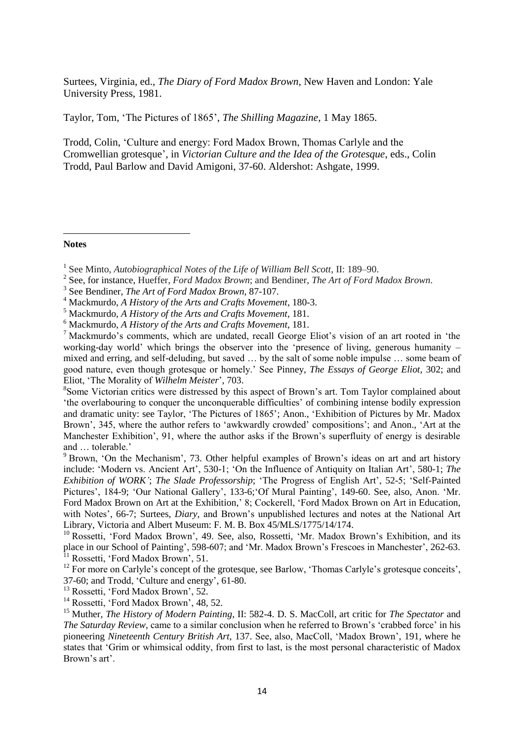Surtees, Virginia, ed., *The Diary of Ford Madox Brown,* New Haven and London: Yale University Press, 1981.

Taylor, Tom, 'The Pictures of 1865', *The Shilling Magazine*, 1 May 1865.

Trodd, Colin, 'Culture and energy: Ford Madox Brown, Thomas Carlyle and the Cromwellian grotesque', in *Victorian Culture and the Idea of the Grotesque*, eds., Colin Trodd, Paul Barlow and David Amigoni, 37-60. Aldershot: Ashgate, 1999.

## **Notes**

**.** 

2 See, for instance, Hueffer, *Ford Madox Brown*; and Bendiner, *The Art of Ford Madox Brown*.

<sup>4</sup> Mackmurdo, *A History of the Arts and Crafts Movement*, 180-3.

<sup>8</sup>Some Victorian critics were distressed by this aspect of Brown's art. Tom Taylor complained about 'the overlabouring to conquer the unconquerable difficulties' of combining intense bodily expression and dramatic unity: see Taylor, 'The Pictures of 1865'; Anon., 'Exhibition of Pictures by Mr. Madox Brown', 345, where the author refers to 'awkwardly crowded' compositions'; and Anon., 'Art at the Manchester Exhibition', 91, where the author asks if the Brown's superfluity of energy is desirable and … tolerable.'

<sup>9</sup> Brown, 'On the Mechanism', 73. Other helpful examples of Brown's ideas on art and art history include: 'Modern vs. Ancient Art', 530-1; 'On the Influence of Antiquity on Italian Art', 580-1; *The Exhibition of WORK'*; *The Slade Professorship*; 'The Progress of English Art', 52-5; 'Self-Painted Pictures', 184-9; 'Our National Gallery', 133-6;'Of Mural Painting', 149-60. See, also, Anon. 'Mr. Ford Madox Brown on Art at the Exhibition,' 8; Cockerell, 'Ford Madox Brown on Art in Education, with Notes', 66-7; Surtees, *Diary,* and Brown's unpublished lectures and notes at the National Art Library, Victoria and Albert Museum: F. M. B. Box 45/MLS/1775/14/174.

<sup>10</sup> Rossetti, 'Ford Madox Brown', 49. See, also, Rossetti, 'Mr. Madox Brown's Exhibition, and its place in our School of Painting', 598-607; and 'Mr. Madox Brown's Frescoes in Manchester', 262-63. <sup>11</sup> Rossetti, 'Ford Madox Brown', 51.

 $12$  For more on Carlyle's concept of the grotesque, see Barlow, 'Thomas Carlyle's grotesque conceits', 37-60; and Trodd, 'Culture and energy', 61-80.

<sup>13</sup> Rossetti, 'Ford Madox Brown', 52.

<sup>14</sup> Rossetti, 'Ford Madox Brown', 48, 52.

<sup>&</sup>lt;sup>1</sup> See Minto, *Autobiographical Notes of the Life of William Bell Scott*, II: 189–90.

<sup>3</sup> See Bendiner, *The Art of Ford Madox Brown*, 87-107.

<sup>5</sup> Mackmurdo, *A History of the Arts and Crafts Movement*, 181.

<sup>6</sup> Mackmurdo, *A History of the Arts and Crafts Movement*, 181.

<sup>7</sup> Mackmurdo's comments, which are undated, recall George Eliot's vision of an art rooted in 'the working-day world' which brings the observer into the 'presence of living, generous humanity – mixed and erring, and self-deluding, but saved … by the salt of some noble impulse … some beam of good nature, even though grotesque or homely.' See Pinney, *The Essays of George Eliot*, 302; and Eliot, 'The Morality of *Wilhelm Meister*', 703.

<sup>15</sup> Muther, *The History of Modern Painting*, II: 582-4. D. S. MacColl, art critic for *The Spectator* and *The Saturday Review*, came to a similar conclusion when he referred to Brown's 'crabbed force' in his pioneering *Nineteenth Century British Art*, 137. See, also, MacColl, 'Madox Brown', 191, where he states that 'Grim or whimsical oddity, from first to last, is the most personal characteristic of Madox Brown's art'.